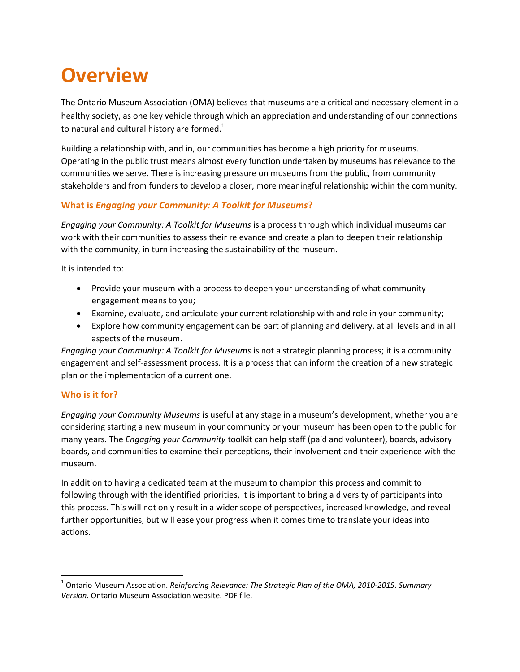# **Overview**

The Ontario Museum Association (OMA) believes that museums are a critical and necessary element in a healthy society, as one key vehicle through which an appreciation and understanding of our connections to natural and cultural history are formed.<sup>1</sup>

Building a relationship with, and in, our communities has become a high priority for museums. Operating in the public trust means almost every function undertaken by museums has relevance to the communities we serve. There is increasing pressure on museums from the public, from community stakeholders and from funders to develop a closer, more meaningful relationship within the community.

## **What is** *Engaging your Community: A Toolkit for Museums***?**

*Engaging your Community: A Toolkit for Museums* is a process through which individual museums can work with their communities to assess their relevance and create a plan to deepen their relationship with the community, in turn increasing the sustainability of the museum.

It is intended to:

- Provide your museum with a process to deepen your understanding of what community engagement means to you;
- Examine, evaluate, and articulate your current relationship with and role in your community;
- Explore how community engagement can be part of planning and delivery, at all levels and in all aspects of the museum.

*Engaging your Community: A Toolkit for Museums* is not a strategic planning process; it is a community engagement and self-assessment process. It is a process that can inform the creation of a new strategic plan or the implementation of a current one.

## **Who is it for?**

 $\overline{\phantom{a}}$ 

*Engaging your Community Museums* is useful at any stage in a museum's development, whether you are considering starting a new museum in your community or your museum has been open to the public for many years. The *Engaging your Community* toolkit can help staff (paid and volunteer), boards, advisory boards, and communities to examine their perceptions, their involvement and their experience with the museum.

In addition to having a dedicated team at the museum to champion this process and commit to following through with the identified priorities, it is important to bring a diversity of participants into this process. This will not only result in a wider scope of perspectives, increased knowledge, and reveal further opportunities, but will ease your progress when it comes time to translate your ideas into actions.

<sup>1</sup> Ontario Museum Association. *Reinforcing Relevance: The Strategic Plan of the OMA, 2010-2015. Summary Version*. Ontario Museum Association website. PDF file.